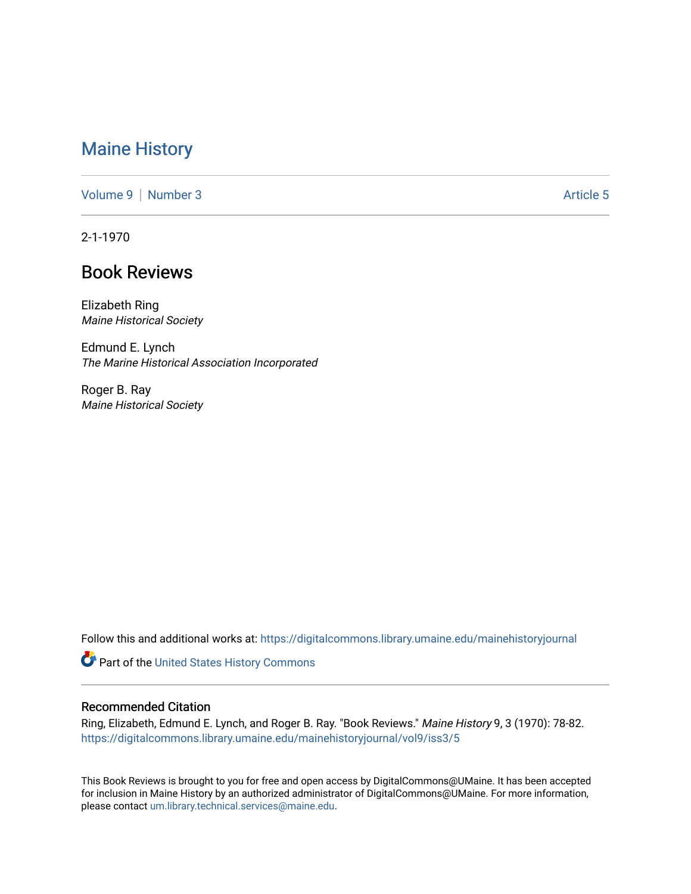## [Maine History](https://digitalcommons.library.umaine.edu/mainehistoryjournal)

[Volume 9](https://digitalcommons.library.umaine.edu/mainehistoryjournal/vol9) | [Number 3](https://digitalcommons.library.umaine.edu/mainehistoryjournal/vol9/iss3) Article 5

2-1-1970

## Book Reviews

Elizabeth Ring Maine Historical Society

Edmund E. Lynch The Marine Historical Association Incorporated

Roger B. Ray Maine Historical Society

Follow this and additional works at: [https://digitalcommons.library.umaine.edu/mainehistoryjournal](https://digitalcommons.library.umaine.edu/mainehistoryjournal?utm_source=digitalcommons.library.umaine.edu%2Fmainehistoryjournal%2Fvol9%2Fiss3%2F5&utm_medium=PDF&utm_campaign=PDFCoverPages) 

Part of the [United States History Commons](http://network.bepress.com/hgg/discipline/495?utm_source=digitalcommons.library.umaine.edu%2Fmainehistoryjournal%2Fvol9%2Fiss3%2F5&utm_medium=PDF&utm_campaign=PDFCoverPages) 

## Recommended Citation

Ring, Elizabeth, Edmund E. Lynch, and Roger B. Ray. "Book Reviews." Maine History 9, 3 (1970): 78-82. [https://digitalcommons.library.umaine.edu/mainehistoryjournal/vol9/iss3/5](https://digitalcommons.library.umaine.edu/mainehistoryjournal/vol9/iss3/5?utm_source=digitalcommons.library.umaine.edu%2Fmainehistoryjournal%2Fvol9%2Fiss3%2F5&utm_medium=PDF&utm_campaign=PDFCoverPages)

This Book Reviews is brought to you for free and open access by DigitalCommons@UMaine. It has been accepted for inclusion in Maine History by an authorized administrator of DigitalCommons@UMaine. For more information, please contact [um.library.technical.services@maine.edu.](mailto:um.library.technical.services@maine.edu)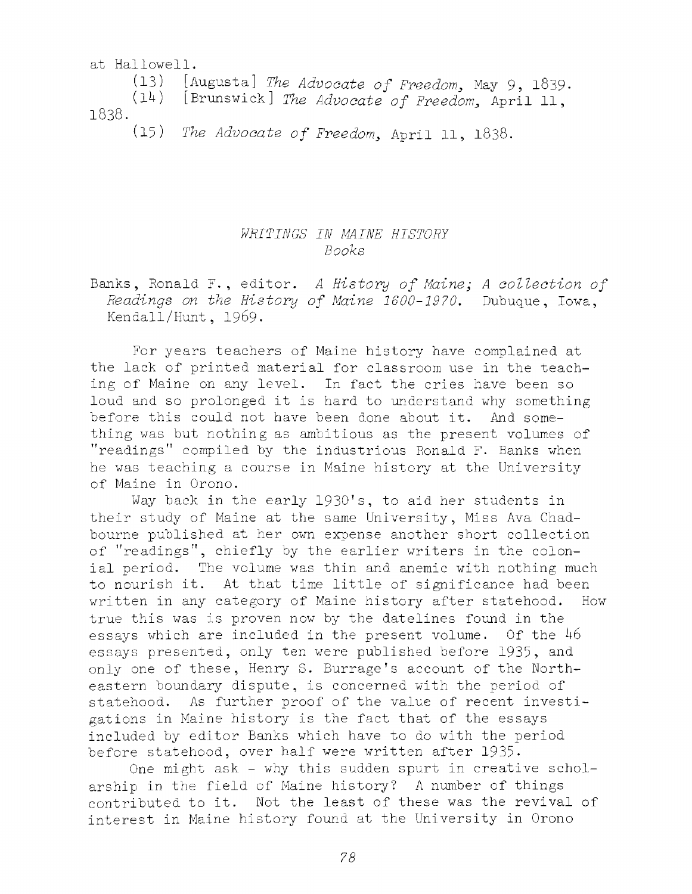at Hallowell.

(13) [Augusta] *The Advocate of Freedom*, May 9, 1839.

*{Ik)* **[Brunswick]** *The Advocate o f Freedom,* **A p r il 11,**

**1838**.

(15) *The Advocate of Freedom*, April 11, 1838.

## *WRITINGS IN MAINE HISTORY Books*

Banks, Ronald F., editor. A History of Maine; A collection of *Readings on the History of Maine 1600-1970*. Dubuque, Iowa, Kendall/Hunt, 1969.

For years teachers of Maine history have complained at the lack of printed material for classroom use in the teaching of Maine on any level. In fact the cries have been so loud and so prolonged it is hard to understand why something before this could not have been done about it. And something was but nothing as ambitious as the present volumes of "readings" compiled by the industrious Ronald F. Banks when he was teaching a course in Maine history at the University of Maine in Orono.

Way back in the early 1930's, to aid her students in their study of Maine at the same University, Miss Ava Chadbourne published at her own expense another short collection of "readings", chiefly by the earlier writers in the colonial period. The volume was thin and anemic with nothing much to nourish it. At that time little of significance had been written in any category of Maine history after statehood. How true this was is proven now by the datelines found in the essays which are included in the present volume. Of the *h6* essays presented, only ten were published before 1935, and only one of these, Henry S. Burrage's account of the Northeastern boundary dispute, is concerned with the period of statehood. As further proof of the value of recent investigations in Maine history is the fact that of the essays included by editor Banks which have to do with the period before statehood, over half were written after 1935.

One might ask - why this sudden spurt in creative scholarship in the field of Maine history? A number of things contributed to it. Not the least of these was the revival of interest in Maine history found at the University in Orono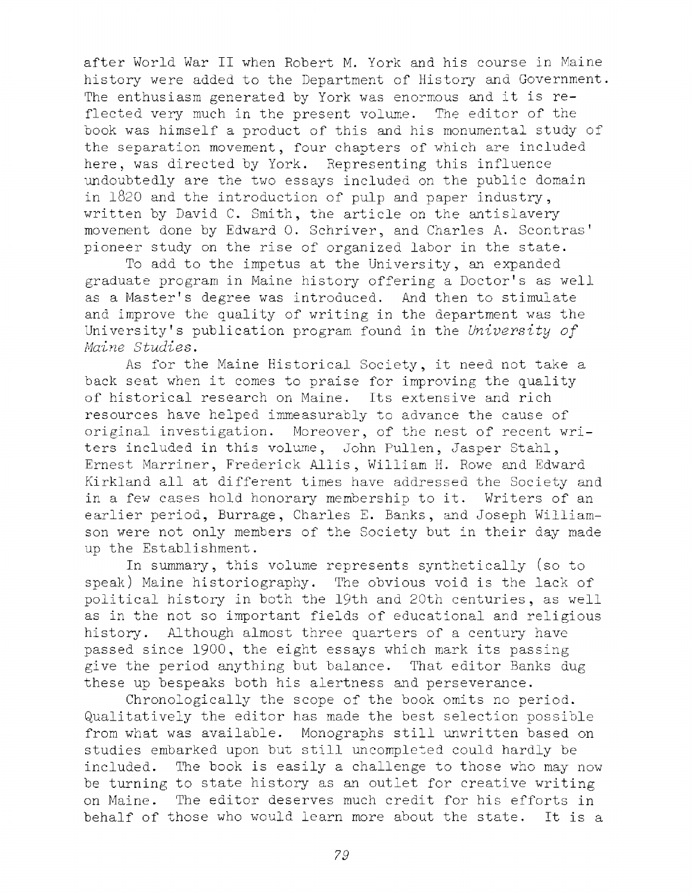after World War II when Robert M. York and his course in Maine history were added to the Department of History and Government. The enthusiasm generated by York was enormous and it is  $re$ flected very much in the present volume. The editor of the book was himself a product of this and his monumental study of the separation movement, four chapters of which are included here, was directed by York. Representing this influence undoubtedly are the two essays included on the public domain in  $1820$  and the introduction of pulp and paper industry, written by David C. Smith, the article on the antislavery movement done by Edward O. Schriver, and Charles A. Scontras' pioneer study on the rise of organized labor in the state.

To add to the impetus at the University, an expanded graduate program in Maine history offering a Doctor's as well as a Master's degree was introduced. And then to stimulate and improve the quality of writing in the department was the University's publication program found in the *University of Maine Studies.* 

As for the Maine Historical Society, it need not take a back seat when it comes to praise for improving the quality of historical research on Maine. Its extensive and rich resources have helped immeasurably to advance the cause of original investigation. Moreover, of the nest of recent writers included in this volume, John Pullen, Jasper Stahl, Ernest Marriner, Frederick Allis, William H. Rowe and Edward Kirkland all at different times have addressed the Society and in a few cases hold honorary membership to it. Writers of an earlier period, Burrage, Charles E. Banks, and Joseph Williamson were not only members of the Society but in their day made up the Establishment.

In summary, this volume represents synthetically (so to speak) Maine historiography. The obvious void is the lack of political history in both the 19th and 20th centuries, as well as in the not so important fields of educational and religious history. Although almost three quarters of a century have passed since 1900, the eight essays which mark its passing give the period anything but balance. That editor Banks dug these up bespeaks both his alertness and perseverance.

Chronologically the scope of the book omits no period. Qualitatively the editor has made the best selection possible from what was available. Monographs still unwritten based on studies embarked upon but still uncompleted could hardly be included. The book is easily a challenge to those who may now be turning to state history as an outlet for creative writing on Maine. The editor deserves much credit for his efforts in behalf of those who would learn more about the state. It is a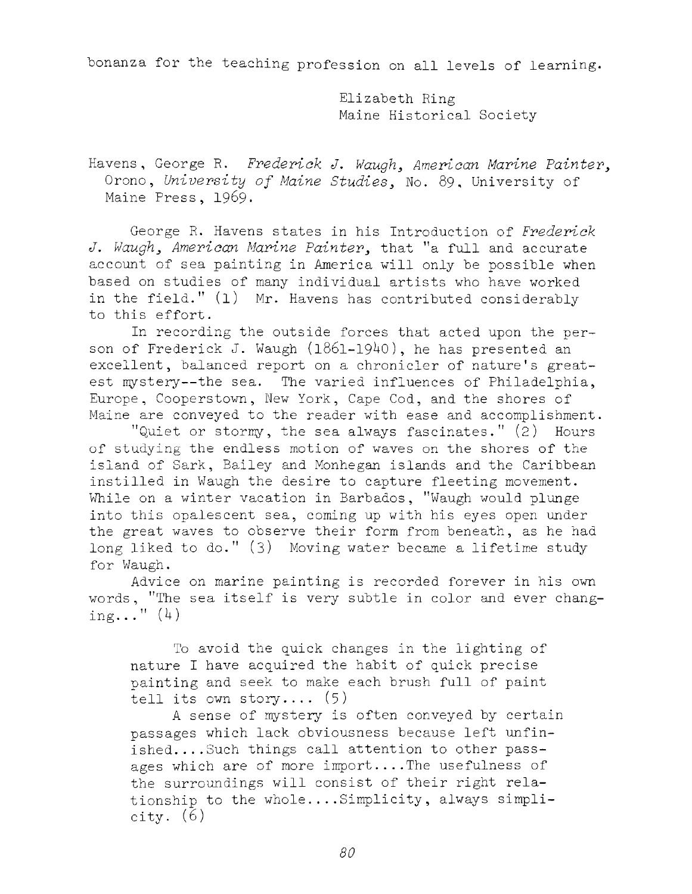bonanza for the teaching profession on all levels of learning.

Elizabeth Ring Maine Historical Society

Havens, George R. Frederick J. Waugh, American Marine Painter, Orono, University of Maine Studies, No. 89, University of Maine Press, 1969.

George R. Havens states in his Introduction of *Frederick J. Waugh, American Marine Painter, that* "a full and accurate account of sea painting in America will only be possible when based on studies of many individual artists who have worked in the field."  $(1)$  Mr. Havens has contributed considerably to this effort.

In recording the outside forces that acted upon the person of Frederick J. Waugh  $(1861 - 1940)$ , he has presented an excellent, balanced report on a chronicler of nature's greatest mystery--the sea. The varied influences of Philadelphia, Europe, Cooperstown, New York, Cape Cod, and the shores of Maine are conveyed to the reader with ease and accomplishment.

"Quiet or stormy, the sea always fascinates."  $(2)$  Hours of studying the endless motion of waves on the shores of the island of Sark, Bailey and Monhegan islands and the Caribbean instilled in Waugh the desire to capture fleeting movement. While on a winter vacation in Barbados, "Waugh would plunge into this opalescent sea, coming up with his eyes open under the great waves to observe their form from beneath, as he had long liked to do."  $(3)$  Moving water became a lifetime study for Waugh.

Advice on marine painting is recorded forever in his own words, "The sea itself is very subtle in color and ever changing..."  $(4)$ 

To avoid the quick changes in the lighting of nature I have acquired the habit of quick precise painting and seek to make each brush full of paint tell its own story....  $(5)$ 

A sense of mystery is often conveyed by certain passages which lack obviousness because left unfinished....Such things call attention to other passages which are of more import....The usefulness of the surroundings will consist of their right relationship to the whole....Simplicity, always simplicity. (6)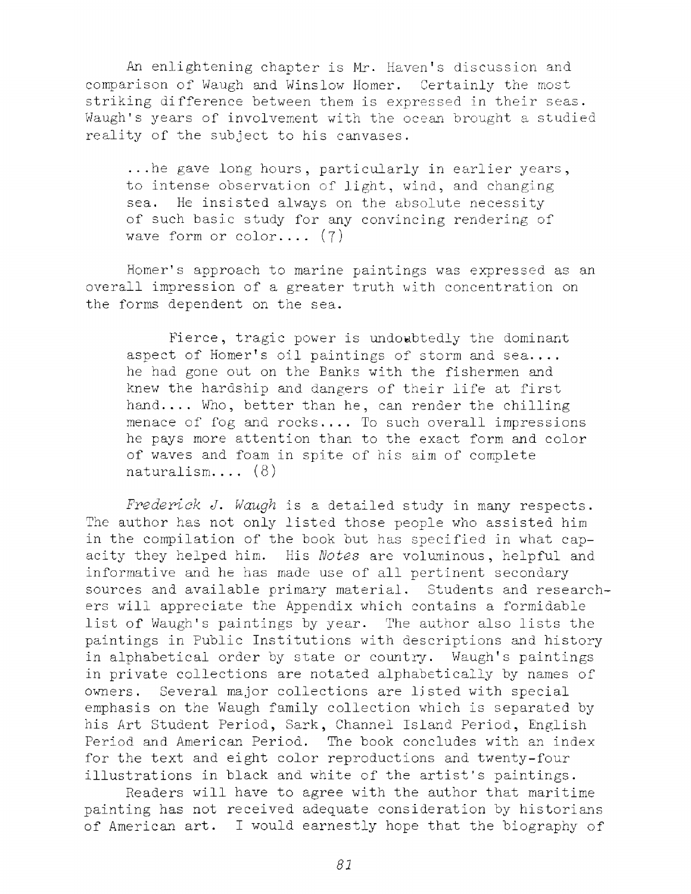An enlightening chapter is Mr. Haven's discussion and comparison of Waugh and Winslow Homer. Certainly the most striking difference between them is expressed in their seas. Waugh's years of involvement with the ocean brought a studied reality of the subject to his canvases.

...he gave long hours, particularly in earlier years, to intense observation of light, wind, and changing sea. He insisted always on the absolute necessity of such basic study for any convincing rendering of wave form or color....  $(7)$ 

Homer's approach to marine paintings was expressed as an overall impression of a greater truth with concentration on the forms dependent on the sea.

Fierce, tragic power is undoubtedly the dominant aspect of Homer's oil paintings of storm and sea.... he had gone out on the Banks with the fishermen and knew the hardship and dangers of their life at first hand.... Who, better than he, can render the chilling menace of fog and rocks.... To such overall impressions he pays more attention than to the exact form and color of waves and foam in spite of his aim of complete naturalism.... (8)

*Frederick J. Waugh* is a detailed study in many respects. The author has not only listed those people who assisted him in the compilation of the book but has specified in what capacity they helped him. His *Notes* are voluminous, helpful and informative and he has made use of all pertinent secondary sources and available primary material. Students and researchers will appreciate the Appendix which contains a formidable list of Waugh's paintings by year. The author also lists the paintings in Public Institutions with descriptions and history in alphabetical order by state or country. Waugh's paintings in private collections are notated alphabetically by names of owners. Several major collections are listed with special emphasis on the Waugh family collection which is separated by his Art Student Period, Sark, Channel Island Period, English Period and American Period. The book concludes with an index for the text and eight color reproductions and twenty-four illustrations in black and white of the artist's paintings.

Readers will have to agree with the author that maritime painting has not received adequate consideration by historians of American art. I would earnestly hope that the biography of